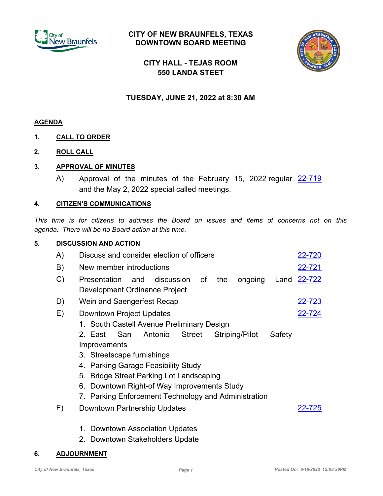

# **CITY OF NEW BRAUNFELS, TEXAS DOWNTOWN BOARD MEETING**



**CITY HALL - TEJAS ROOM 550 LANDA STEET**

# **TUESDAY, JUNE 21, 2022 at 8:30 AM**

### **AGENDA**

- **1. CALL TO ORDER**
- **2. ROLL CALL**

## **3. APPROVAL OF MINUTES**

A) Approval of the minutes of the February 15, 2022 regular <u>[22-719](http://newbraunfels.legistar.com/gateway.aspx?m=l&id=/matter.aspx?key=10734)</u> and the May 2, 2022 special called meetings.

#### **4. CITIZEN'S COMMUNICATIONS**

*This time is for citizens to address the Board on issues and items of concerns not on this agenda. There will be no Board action at this time.*

#### **5. DISCUSSION AND ACTION**

| A) | Discuss and consider election of officers                                            | 22-720      |
|----|--------------------------------------------------------------------------------------|-------------|
| B) | New member introductions                                                             | 22-721      |
| C) | discussion of<br>the<br>ongoing<br>Presentation and<br>Development Ordinance Project | Land 22-722 |
| D) | Wein and Saengerfest Recap                                                           | 22-723      |
| E) | Downtown Project Updates                                                             | 22-724      |
|    | 1. South Castell Avenue Preliminary Design                                           |             |
|    | Antonio<br>San<br>Street<br>Striping/Pilot<br>Safety<br>2. East                      |             |
|    | Improvements                                                                         |             |
|    | 3. Streetscape furnishings                                                           |             |
|    | 4. Parking Garage Feasibility Study                                                  |             |
|    | 5. Bridge Street Parking Lot Landscaping                                             |             |
|    | 6. Downtown Right-of Way Improvements Study                                          |             |
|    | 7. Parking Enforcement Technology and Administration                                 |             |
| F) | Downtown Partnership Updates                                                         | 22-725      |
|    |                                                                                      |             |

- 1. Downtown Association Updates
- 2. Downtown Stakeholders Update

#### **6. ADJOURNMENT**